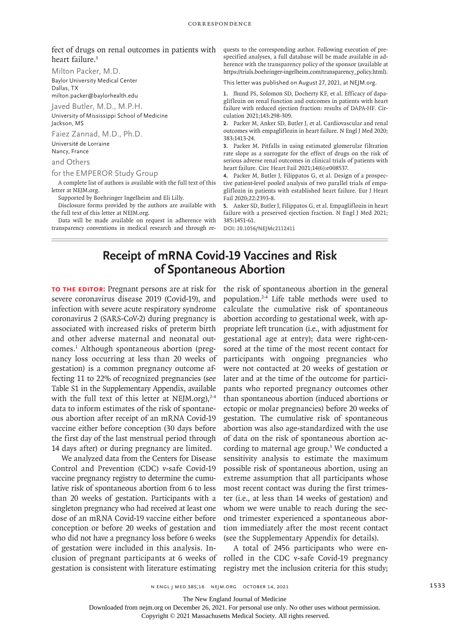## fect of drugs on renal outcomes in patients with heart failure.3

Milton Packer, M.D.

Baylor University Medical Center Dallas, TX

milton.packer@baylorhealth.edu

Javed Butler, M.D., M.P.H.

University of Mississippi School of Medicine Jackson, MS

Faiez Zannad, M.D., Ph.D. Université de Lorraine Nancy, France

and Others

## for the EMPEROR Study Group

A complete list of authors is available with the full text of this letter at NEJM.org.

Supported by Boehringer Ingelheim and Eli Lilly.

Disclosure forms provided by the authors are available with the full text of this letter at NEJM.org.

Data will be made available on request in adherence with transparency conventions in medical research and through requests to the corresponding author. Following execution of prespecified analyses, a full database will be made available in adherence with the transparency policy of the sponsor (available at https://trials.boehringer-ingelheim.com/transparency\_policy.html).

This letter was published on August 27, 2021, at NEJM.org.

**1.** Jhund PS, Solomon SD, Docherty KF, et al. Efficacy of dapagliflozin on renal function and outcomes in patients with heart failure with reduced ejection fraction: results of DAPA-HF. Circulation 2021;143:298-309.

**2.** Packer M, Anker SD, Butler J, et al. Cardiovascular and renal outcomes with empagliflozin in heart failure. N Engl J Med 2020; 383:1413-24.

**3.** Packer M. Pitfalls in using estimated glomerular filtration rate slope as a surrogate for the effect of drugs on the risk of serious adverse renal outcomes in clinical trials of patients with heart failure. Circ Heart Fail 2021;14(6):e008537.

**4.** Packer M, Butler J, Filippatos G, et al. Design of a prospective patient-level pooled analysis of two parallel trials of empagliflozin in patients with established heart failure. Eur J Heart Fail 2020;22:2393-8.

**5.** Anker SD, Butler J, Filippatos G, et al. Empagliflozin in heart failure with a preserved ejection fraction. N Engl J Med 2021; 385:1451-61.

**DOI: 10.1056/NEJMc2112411**

## **Receipt of mRNA Covid-19 Vaccines and Risk of Spontaneous Abortion**

**To the Editor:** Pregnant persons are at risk for severe coronavirus disease 2019 (Covid-19), and infection with severe acute respiratory syndrome coronavirus 2 (SARS-CoV-2) during pregnancy is associated with increased risks of preterm birth and other adverse maternal and neonatal outcomes.1 Although spontaneous abortion (pregnancy loss occurring at less than 20 weeks of gestation) is a common pregnancy outcome affecting 11 to 22% of recognized pregnancies (see Table S1 in the Supplementary Appendix, available with the full text of this letter at NEJM.org), $2-4$ data to inform estimates of the risk of spontaneous abortion after receipt of an mRNA Covid-19 vaccine either before conception (30 days before the first day of the last menstrual period through 14 days after) or during pregnancy are limited.

We analyzed data from the Centers for Disease Control and Prevention (CDC) v-safe Covid-19 vaccine pregnancy registry to determine the cumulative risk of spontaneous abortion from 6 to less than 20 weeks of gestation. Participants with a singleton pregnancy who had received at least one dose of an mRNA Covid-19 vaccine either before conception or before 20 weeks of gestation and who did not have a pregnancy loss before 6 weeks of gestation were included in this analysis. Ingestation is consistent with literature estimating the risk of spontaneous abortion in the general population.2-4 Life table methods were used to calculate the cumulative risk of spontaneous abortion according to gestational week, with appropriate left truncation (i.e., with adjustment for gestational age at entry); data were right-censored at the time of the most recent contact for participants with ongoing pregnancies who were not contacted at 20 weeks of gestation or later and at the time of the outcome for participants who reported pregnancy outcomes other than spontaneous abortion (induced abortions or ectopic or molar pregnancies) before 20 weeks of gestation. The cumulative risk of spontaneous abortion was also age-standardized with the use of data on the risk of spontaneous abortion according to maternal age group.<sup>3</sup> We conducted a sensitivity analysis to estimate the maximum possible risk of spontaneous abortion, using an extreme assumption that all participants whose most recent contact was during the first trimester (i.e., at less than 14 weeks of gestation) and whom we were unable to reach during the second trimester experienced a spontaneous abortion immediately after the most recent contact (see the Supplementary Appendix for details).

clusion of pregnant participants at 6 weeks of rolled in the CDC v-safe Covid-19 pregnancy A total of 2456 participants who were enregistry met the inclusion criteria for this study;

The New England Journal of Medicine

Downloaded from nejm.org on December 26, 2021. For personal use only. No other uses without permission.

Copyright © 2021 Massachusetts Medical Society. All rights reserved.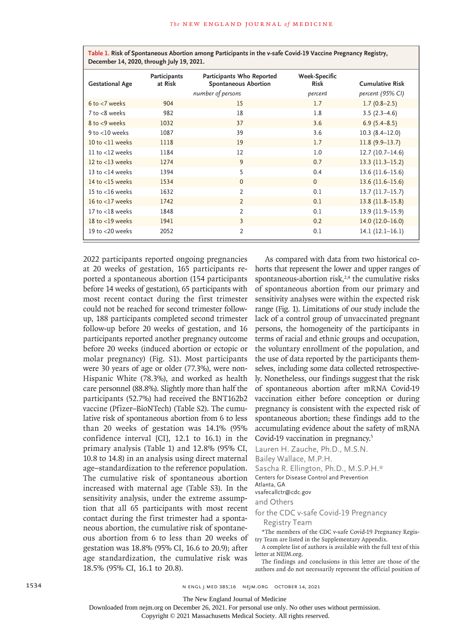| Table 1. Risk of Spontaneous Abortion among Participants in the v-safe Covid-19 Vaccine Pregnancy Registry,<br>December 14, 2020, through July 19, 2021. |                         |                                                          |                              |                        |
|----------------------------------------------------------------------------------------------------------------------------------------------------------|-------------------------|----------------------------------------------------------|------------------------------|------------------------|
| <b>Gestational Age</b>                                                                                                                                   | Participants<br>at Risk | Participants Who Reported<br><b>Spontaneous Abortion</b> | <b>Week-Specific</b><br>Risk | <b>Cumulative Risk</b> |
|                                                                                                                                                          | number of persons       |                                                          | percent                      | percent (95% CI)       |
| $6$ to $<$ 7 weeks                                                                                                                                       | 904                     | 15                                                       | 1.7                          | $1.7(0.8-2.5)$         |
| $7$ to $< 8$ weeks                                                                                                                                       | 982                     | 18                                                       | 1.8                          | $3.5(2.3-4.6)$         |
| $8$ to $<$ 9 weeks                                                                                                                                       | 1032                    | 37                                                       | 3.6                          | $6.9(5.4 - 8.5)$       |
| 9 to $<$ 10 weeks                                                                                                                                        | 1087                    | 39                                                       | 3.6                          | $10.3(8.4-12.0)$       |
| $10$ to $<$ 11 weeks                                                                                                                                     | 1118                    | 19                                                       | 1.7                          | $11.8(9.9-13.7)$       |
| $11$ to $<$ 12 weeks                                                                                                                                     | 1184                    | 12                                                       | 1.0                          | 12.7(10.7–14.6)        |
| 12 to $<$ 13 weeks                                                                                                                                       | 1274                    | 9                                                        | 0.7                          | $13.3 (11.3 - 15.2)$   |
| 13 to $<$ 14 weeks                                                                                                                                       | 1394                    | 5                                                        | 0.4                          | $13.6(11.6-15.6)$      |
| 14 to $<$ 15 weeks                                                                                                                                       | 1534                    | $\Omega$                                                 | $\Omega$                     | $13.6(11.6-15.6)$      |
| 15 to $<$ 16 weeks                                                                                                                                       | 1632                    | $\overline{2}$                                           | 0.1                          | $13.7(11.7-15.7)$      |
| 16 to $<$ 17 weeks                                                                                                                                       | 1742                    | $\overline{2}$                                           | 0.1                          | $13.8(11.8-15.8)$      |
| $17$ to $<$ 18 weeks                                                                                                                                     | 1848                    | $\overline{2}$                                           | 0.1                          | 13.9 (11.9-15.9)       |
| 18 to $<$ 19 weeks                                                                                                                                       | 1941                    | 3                                                        | 0.2                          | $14.0(12.0-16.0)$      |
| 19 to $<$ 20 weeks                                                                                                                                       | 2052                    | $\overline{2}$                                           | 0.1                          | $14.1(12.1-16.1)$      |

2022 participants reported ongoing pregnancies at 20 weeks of gestation, 165 participants reported a spontaneous abortion (154 participants before 14 weeks of gestation), 65 participants with most recent contact during the first trimester could not be reached for second trimester followup, 188 participants completed second trimester follow-up before 20 weeks of gestation, and 16 participants reported another pregnancy outcome before 20 weeks (induced abortion or ectopic or molar pregnancy) (Fig. S1). Most participants were 30 years of age or older (77.3%), were non-Hispanic White (78.3%), and worked as health care personnel (88.8%). Slightly more than half the participants (52.7%) had received the BNT162b2 vaccine (Pfizer–BioNTech) (Table S2). The cumulative risk of spontaneous abortion from 6 to less than 20 weeks of gestation was 14.1% (95% confidence interval [CI], 12.1 to 16.1) in the primary analysis (Table 1) and 12.8% (95% CI, 10.8 to 14.8) in an analysis using direct maternal age–standardization to the reference population. The cumulative risk of spontaneous abortion increased with maternal age (Table S3). In the sensitivity analysis, under the extreme assumption that all 65 participants with most recent contact during the first trimester had a spontaneous abortion, the cumulative risk of spontaneous abortion from 6 to less than 20 weeks of gestation was 18.8% (95% CI, 16.6 to 20.9); after age standardization, the cumulative risk was 18.5% (95% CI, 16.1 to 20.8).

As compared with data from two historical cohorts that represent the lower and upper ranges of spontaneous-abortion risk, $2,4$  the cumulative risks of spontaneous abortion from our primary and sensitivity analyses were within the expected risk range (Fig. 1). Limitations of our study include the lack of a control group of unvaccinated pregnant persons, the homogeneity of the participants in terms of racial and ethnic groups and occupation, the voluntary enrollment of the population, and the use of data reported by the participants themselves, including some data collected retrospectively. Nonetheless, our findings suggest that the risk of spontaneous abortion after mRNA Covid-19 vaccination either before conception or during pregnancy is consistent with the expected risk of spontaneous abortion; these findings add to the accumulating evidence about the safety of mRNA Covid-19 vaccination in pregnancy.<sup>5</sup>

Lauren H. Zauche, Ph.D., M.S.N.

Bailey Wallace, M.P.H.

Sascha R. Ellington, Ph.D., M.S.P.H.\*

Centers for Disease Control and Prevention

Atlanta, GA

vsafecallctr@cdc.gov

and Others

for the CDC v-safe Covid-19 Pregnancy Registry Team

\*The members of the CDC v-safe Covid-19 Pregnancy Registry Team are listed in the Supplementary Appendix.

A complete list of authors is available with the full text of this letter at NEJM.org.

The findings and conclusions in this letter are those of the authors and do not necessarily represent the official position of

The New England Journal of Medicine

Downloaded from nejm.org on December 26, 2021. For personal use only. No other uses without permission.

Copyright © 2021 Massachusetts Medical Society. All rights reserved.